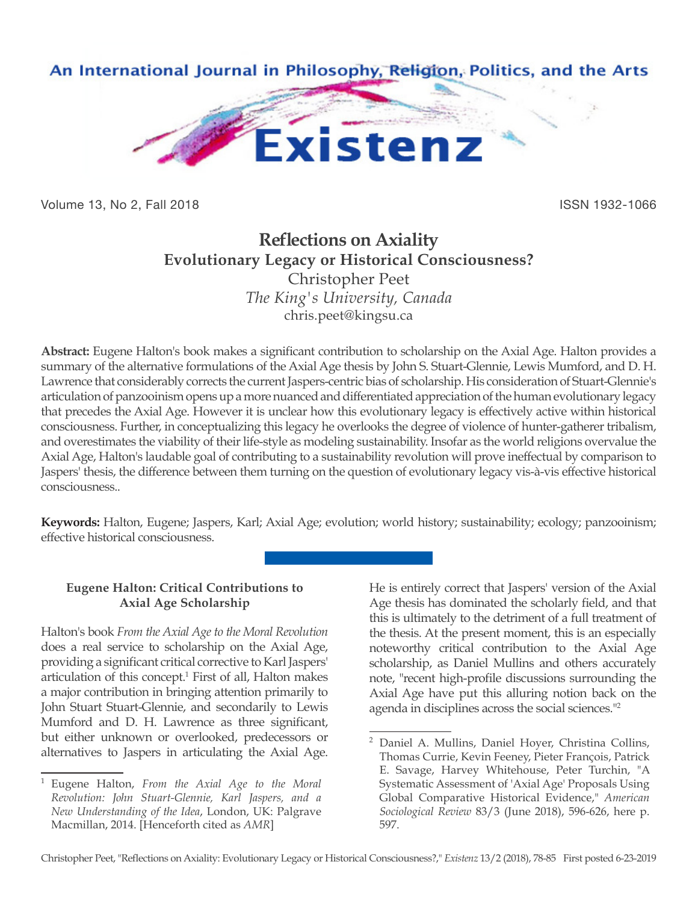

Volume 13, No 2, Fall 2018 **ISSN 1932-1066** 

# **Reflections on Axiality Evolutionary Legacy or Historical Consciousness?** Christopher Peet *The King's University, Canada*

chris.peet@kingsu.ca

**Abstract:** Eugene Halton's book makes a significant contribution to scholarship on the Axial Age. Halton provides a summary of the alternative formulations of the Axial Age thesis by John S. Stuart-Glennie, Lewis Mumford, and D. H. Lawrence that considerably corrects the current Jaspers-centric bias of scholarship. His consideration of Stuart-Glennie's articulation of panzooinism opens up a more nuanced and differentiated appreciation of the human evolutionary legacy that precedes the Axial Age. However it is unclear how this evolutionary legacy is effectively active within historical consciousness. Further, in conceptualizing this legacy he overlooks the degree of violence of hunter-gatherer tribalism, and overestimates the viability of their life-style as modeling sustainability. Insofar as the world religions overvalue the Axial Age, Halton's laudable goal of contributing to a sustainability revolution will prove ineffectual by comparison to Jaspers' thesis, the difference between them turning on the question of evolutionary legacy vis-à-vis effective historical consciousness..

**Keywords:** Halton, Eugene; Jaspers, Karl; Axial Age; evolution; world history; sustainability; ecology; panzooinism; effective historical consciousness.

# **Eugene Halton: Critical Contributions to Axial Age Scholarship**

Halton's book *From the Axial Age to the Moral Revolution* does a real service to scholarship on the Axial Age, providing a significant critical corrective to Karl Jaspers' articulation of this concept.<sup>1</sup> First of all, Halton makes a major contribution in bringing attention primarily to John Stuart Stuart-Glennie, and secondarily to Lewis Mumford and D. H. Lawrence as three significant, but either unknown or overlooked, predecessors or alternatives to Jaspers in articulating the Axial Age.

He is entirely correct that Jaspers' version of the Axial Age thesis has dominated the scholarly field, and that this is ultimately to the detriment of a full treatment of the thesis. At the present moment, this is an especially noteworthy critical contribution to the Axial Age scholarship, as Daniel Mullins and others accurately note, "recent high-profile discussions surrounding the Axial Age have put this alluring notion back on the agenda in disciplines across the social sciences."<sup>2</sup>

<sup>1</sup> Eugene Halton, *From the Axial Age to the Moral Revolution: John Stuart-Glennie, Karl Jaspers, and a New Understanding of the Idea*, London, UK: Palgrave Macmillan, 2014. [Henceforth cited as *AMR*]

<sup>2</sup> Daniel A. Mullins, Daniel Hoyer, Christina Collins, Thomas Currie, Kevin Feeney, Pieter François, Patrick E. Savage, Harvey Whitehouse, Peter Turchin, "A Systematic Assessment of 'Axial Age' Proposals Using Global Comparative Historical Evidence," *American Sociological Review* 83/3 (June 2018), 596-626, here p. 597.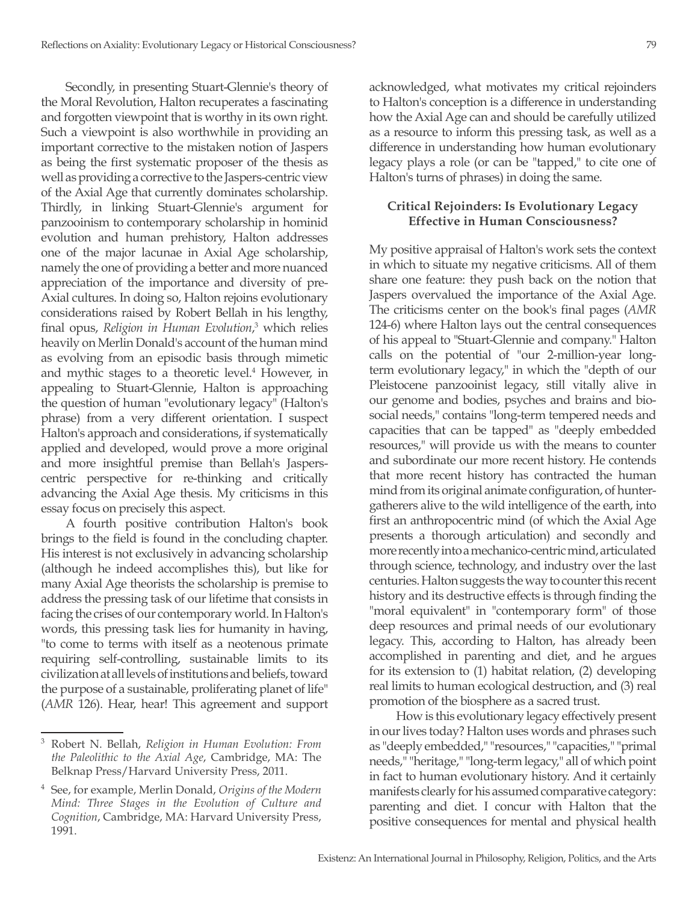Secondly, in presenting Stuart-Glennie's theory of the Moral Revolution, Halton recuperates a fascinating and forgotten viewpoint that is worthy in its own right. Such a viewpoint is also worthwhile in providing an important corrective to the mistaken notion of Jaspers as being the first systematic proposer of the thesis as well as providing a corrective to the Jaspers-centric view of the Axial Age that currently dominates scholarship. Thirdly, in linking Stuart-Glennie's argument for panzooinism to contemporary scholarship in hominid evolution and human prehistory, Halton addresses one of the major lacunae in Axial Age scholarship, namely the one of providing a better and more nuanced appreciation of the importance and diversity of pre-Axial cultures. In doing so, Halton rejoins evolutionary considerations raised by Robert Bellah in his lengthy, final opus, *Religion in Human Evolution*, 3 which relies heavily on Merlin Donald's account of the human mind as evolving from an episodic basis through mimetic and mythic stages to a theoretic level.<sup>4</sup> However, in appealing to Stuart-Glennie, Halton is approaching the question of human "evolutionary legacy" (Halton's phrase) from a very different orientation. I suspect Halton's approach and considerations, if systematically applied and developed, would prove a more original and more insightful premise than Bellah's Jasperscentric perspective for re-thinking and critically advancing the Axial Age thesis. My criticisms in this essay focus on precisely this aspect.

A fourth positive contribution Halton's book brings to the field is found in the concluding chapter. His interest is not exclusively in advancing scholarship (although he indeed accomplishes this), but like for many Axial Age theorists the scholarship is premise to address the pressing task of our lifetime that consists in facing the crises of our contemporary world. In Halton's words, this pressing task lies for humanity in having, "to come to terms with itself as a neotenous primate requiring self-controlling, sustainable limits to its civilization at all levels of institutions and beliefs, toward the purpose of a sustainable, proliferating planet of life" (*AMR* 126). Hear, hear! This agreement and support acknowledged, what motivates my critical rejoinders to Halton's conception is a difference in understanding how the Axial Age can and should be carefully utilized as a resource to inform this pressing task, as well as a difference in understanding how human evolutionary legacy plays a role (or can be "tapped," to cite one of Halton's turns of phrases) in doing the same.

## **Critical Rejoinders: Is Evolutionary Legacy Effective in Human Consciousness?**

My positive appraisal of Halton's work sets the context in which to situate my negative criticisms. All of them share one feature: they push back on the notion that Jaspers overvalued the importance of the Axial Age. The criticisms center on the book's final pages (*AMR*  124-6) where Halton lays out the central consequences of his appeal to "Stuart-Glennie and company." Halton calls on the potential of "our 2-million-year longterm evolutionary legacy," in which the "depth of our Pleistocene panzooinist legacy, still vitally alive in our genome and bodies, psyches and brains and biosocial needs," contains "long-term tempered needs and capacities that can be tapped" as "deeply embedded resources," will provide us with the means to counter and subordinate our more recent history. He contends that more recent history has contracted the human mind from its original animate configuration, of huntergatherers alive to the wild intelligence of the earth, into first an anthropocentric mind (of which the Axial Age presents a thorough articulation) and secondly and more recently into a mechanico-centric mind, articulated through science, technology, and industry over the last centuries. Halton suggests the way to counter this recent history and its destructive effects is through finding the "moral equivalent" in "contemporary form" of those deep resources and primal needs of our evolutionary legacy. This, according to Halton, has already been accomplished in parenting and diet, and he argues for its extension to (1) habitat relation, (2) developing real limits to human ecological destruction, and (3) real promotion of the biosphere as a sacred trust.

 How is this evolutionary legacy effectively present in our lives today? Halton uses words and phrases such as "deeply embedded," "resources," "capacities," "primal needs," "heritage," "long-term legacy," all of which point in fact to human evolutionary history. And it certainly manifests clearly for his assumed comparative category: parenting and diet. I concur with Halton that the positive consequences for mental and physical health

<sup>3</sup> Robert N. Bellah, *Religion in Human Evolution: From the Paleolithic to the Axial Age*, Cambridge, MA: The Belknap Press/Harvard University Press, 2011.

<sup>4</sup> See, for example, Merlin Donald, *Origins of the Modern Mind: Three Stages in the Evolution of Culture and Cognition*, Cambridge, MA: Harvard University Press, 1991.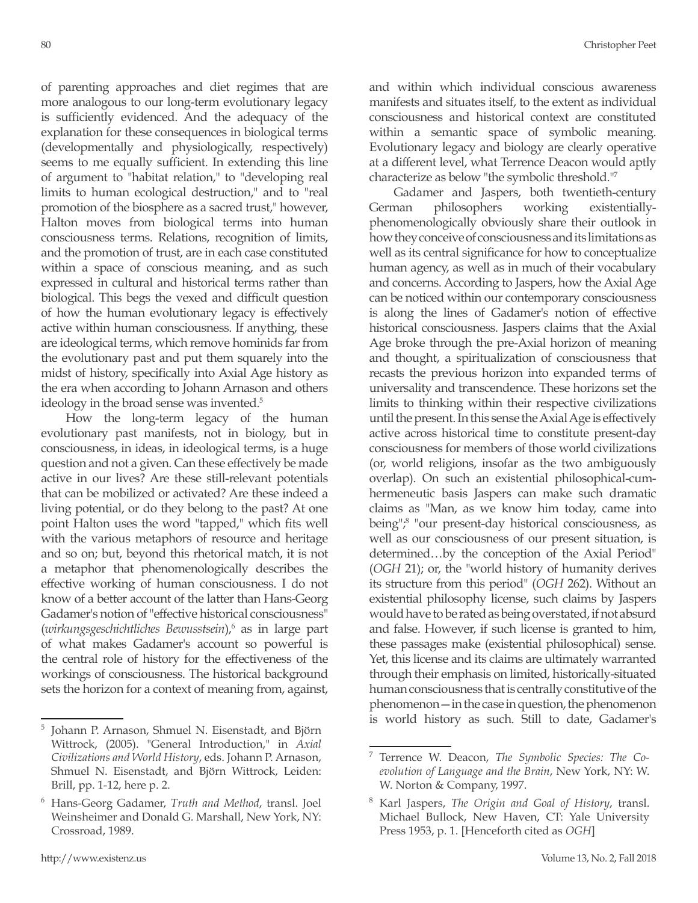of parenting approaches and diet regimes that are more analogous to our long-term evolutionary legacy is sufficiently evidenced. And the adequacy of the explanation for these consequences in biological terms (developmentally and physiologically, respectively) seems to me equally sufficient. In extending this line of argument to "habitat relation," to "developing real

limits to human ecological destruction," and to "real promotion of the biosphere as a sacred trust," however, Halton moves from biological terms into human consciousness terms. Relations, recognition of limits, and the promotion of trust, are in each case constituted within a space of conscious meaning, and as such expressed in cultural and historical terms rather than biological. This begs the vexed and difficult question of how the human evolutionary legacy is effectively active within human consciousness. If anything, these are ideological terms, which remove hominids far from the evolutionary past and put them squarely into the midst of history, specifically into Axial Age history as the era when according to Johann Arnason and others ideology in the broad sense was invented.<sup>5</sup> How the long-term legacy of the human evolutionary past manifests, not in biology, but in

consciousness, in ideas, in ideological terms, is a huge question and not a given. Can these effectively be made active in our lives? Are these still-relevant potentials that can be mobilized or activated? Are these indeed a living potential, or do they belong to the past? At one point Halton uses the word "tapped," which fits well with the various metaphors of resource and heritage and so on; but, beyond this rhetorical match, it is not a metaphor that phenomenologically describes the effective working of human consciousness. I do not know of a better account of the latter than Hans-Georg Gadamer's notion of "effective historical consciousness" (*wirkungsgeschichtliches Bewusstsein*),6 as in large part of what makes Gadamer's account so powerful is the central role of history for the effectiveness of the workings of consciousness. The historical background sets the horizon for a context of meaning from, against,

and within which individual conscious awareness manifests and situates itself, to the extent as individual consciousness and historical context are constituted within a semantic space of symbolic meaning. Evolutionary legacy and biology are clearly operative at a different level, what Terrence Deacon would aptly characterize as below "the symbolic threshold."7

Gadamer and Jaspers, both twentieth-century German philosophers working existentiallyphenomenologically obviously share their outlook in how they conceive of consciousness and its limitations as well as its central significance for how to conceptualize human agency, as well as in much of their vocabulary and concerns. According to Jaspers, how the Axial Age can be noticed within our contemporary consciousness is along the lines of Gadamer's notion of effective historical consciousness. Jaspers claims that the Axial Age broke through the pre-Axial horizon of meaning and thought, a spiritualization of consciousness that recasts the previous horizon into expanded terms of universality and transcendence. These horizons set the limits to thinking within their respective civilizations until the present. In this sense the Axial Age is effectively active across historical time to constitute present-day consciousness for members of those world civilizations (or, world religions, insofar as the two ambiguously overlap). On such an existential philosophical-cumhermeneutic basis Jaspers can make such dramatic claims as "Man, as we know him today, came into being",<sup>8</sup> "our present-day historical consciousness, as well as our consciousness of our present situation, is determined…by the conception of the Axial Period" (*OGH* 21); or, the "world history of humanity derives its structure from this period" (*OGH* 262). Without an existential philosophy license, such claims by Jaspers would have to be rated as being overstated, if not absurd and false. However, if such license is granted to him, these passages make (existential philosophical) sense. Yet, this license and its claims are ultimately warranted through their emphasis on limited, historically-situated human consciousness that is centrally constitutive of the phenomenon—in the case in question, the phenomenon is world history as such. Still to date, Gadamer's

<sup>5</sup> Johann P. Arnason, Shmuel N. Eisenstadt, and Björn Wittrock, (2005). "General Introduction," in *Axial Civilizations and World History*, eds. Johann P. Arnason, Shmuel N. Eisenstadt, and Björn Wittrock, Leiden: Brill, pp. 1-12, here p. 2.

<sup>6</sup> Hans-Georg Gadamer, *Truth and Method*, transl. Joel Weinsheimer and Donald G. Marshall, New York, NY: Crossroad, 1989.

<sup>7</sup> Terrence W. Deacon, *The Symbolic Species: The Coevolution of Language and the Brain*, New York, NY: W. W. Norton & Company, 1997.

<sup>8</sup> Karl Jaspers, *The Origin and Goal of History*, transl. Michael Bullock, New Haven, CT: Yale University Press 1953, p. 1. [Henceforth cited as *OGH*]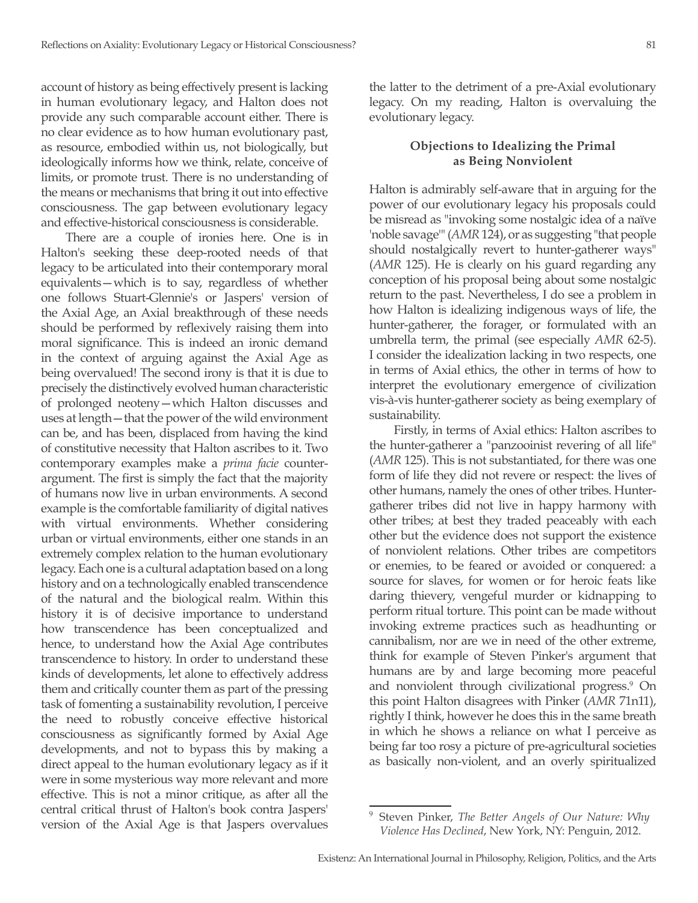account of history as being effectively present is lacking in human evolutionary legacy, and Halton does not provide any such comparable account either. There is no clear evidence as to how human evolutionary past, as resource, embodied within us, not biologically, but ideologically informs how we think, relate, conceive of limits, or promote trust. There is no understanding of the means or mechanisms that bring it out into effective consciousness. The gap between evolutionary legacy

and effective-historical consciousness is considerable.

There are a couple of ironies here. One is in Halton's seeking these deep-rooted needs of that legacy to be articulated into their contemporary moral equivalents—which is to say, regardless of whether one follows Stuart-Glennie's or Jaspers' version of the Axial Age, an Axial breakthrough of these needs should be performed by reflexively raising them into moral significance. This is indeed an ironic demand in the context of arguing against the Axial Age as being overvalued! The second irony is that it is due to precisely the distinctively evolved human characteristic of prolonged neoteny—which Halton discusses and uses at length—that the power of the wild environment can be, and has been, displaced from having the kind of constitutive necessity that Halton ascribes to it. Two contemporary examples make a *prima facie* counterargument. The first is simply the fact that the majority of humans now live in urban environments. A second example is the comfortable familiarity of digital natives with virtual environments. Whether considering urban or virtual environments, either one stands in an extremely complex relation to the human evolutionary legacy. Each one is a cultural adaptation based on a long history and on a technologically enabled transcendence of the natural and the biological realm. Within this history it is of decisive importance to understand how transcendence has been conceptualized and hence, to understand how the Axial Age contributes transcendence to history. In order to understand these kinds of developments, let alone to effectively address them and critically counter them as part of the pressing task of fomenting a sustainability revolution, I perceive the need to robustly conceive effective historical consciousness as significantly formed by Axial Age developments, and not to bypass this by making a direct appeal to the human evolutionary legacy as if it were in some mysterious way more relevant and more effective. This is not a minor critique, as after all the central critical thrust of Halton's book contra Jaspers' version of the Axial Age is that Jaspers overvalues

the latter to the detriment of a pre-Axial evolutionary legacy. On my reading, Halton is overvaluing the evolutionary legacy.

#### **Objections to Idealizing the Primal as Being Nonviolent**

Halton is admirably self-aware that in arguing for the power of our evolutionary legacy his proposals could be misread as "invoking some nostalgic idea of a naïve 'noble savage'" (*AMR* 124), or as suggesting "that people should nostalgically revert to hunter-gatherer ways" (*AMR* 125). He is clearly on his guard regarding any conception of his proposal being about some nostalgic return to the past. Nevertheless, I do see a problem in how Halton is idealizing indigenous ways of life, the hunter-gatherer, the forager, or formulated with an umbrella term, the primal (see especially *AMR* 62-5). I consider the idealization lacking in two respects, one in terms of Axial ethics, the other in terms of how to interpret the evolutionary emergence of civilization vis-à-vis hunter-gatherer society as being exemplary of sustainability.

Firstly, in terms of Axial ethics: Halton ascribes to the hunter-gatherer a "panzooinist revering of all life" (*AMR* 125). This is not substantiated, for there was one form of life they did not revere or respect: the lives of other humans, namely the ones of other tribes. Huntergatherer tribes did not live in happy harmony with other tribes; at best they traded peaceably with each other but the evidence does not support the existence of nonviolent relations. Other tribes are competitors or enemies, to be feared or avoided or conquered: a source for slaves, for women or for heroic feats like daring thievery, vengeful murder or kidnapping to perform ritual torture. This point can be made without invoking extreme practices such as headhunting or cannibalism, nor are we in need of the other extreme, think for example of Steven Pinker's argument that humans are by and large becoming more peaceful and nonviolent through civilizational progress.<sup>9</sup> On this point Halton disagrees with Pinker (*AMR* 71n11), rightly I think, however he does this in the same breath in which he shows a reliance on what I perceive as being far too rosy a picture of pre-agricultural societies as basically non-violent, and an overly spiritualized

<sup>9</sup> Steven Pinker, *The Better Angels of Our Nature: Why Violence Has Declined*, New York, NY: Penguin, 2012.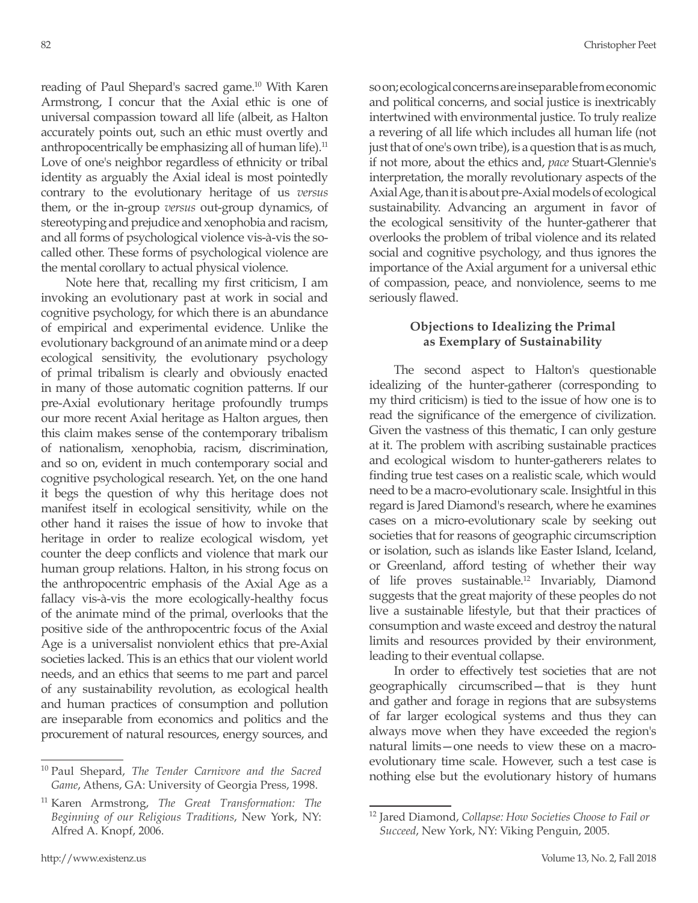reading of Paul Shepard's sacred game.10 With Karen Armstrong, I concur that the Axial ethic is one of universal compassion toward all life (albeit, as Halton accurately points out, such an ethic must overtly and anthropocentrically be emphasizing all of human life).<sup>11</sup> Love of one's neighbor regardless of ethnicity or tribal identity as arguably the Axial ideal is most pointedly contrary to the evolutionary heritage of us *versus*  them, or the in-group *versus* out-group dynamics, of stereotyping and prejudice and xenophobia and racism, and all forms of psychological violence vis-à-vis the socalled other. These forms of psychological violence are the mental corollary to actual physical violence.

Note here that, recalling my first criticism, I am invoking an evolutionary past at work in social and cognitive psychology, for which there is an abundance of empirical and experimental evidence. Unlike the evolutionary background of an animate mind or a deep ecological sensitivity, the evolutionary psychology of primal tribalism is clearly and obviously enacted in many of those automatic cognition patterns. If our pre-Axial evolutionary heritage profoundly trumps our more recent Axial heritage as Halton argues, then this claim makes sense of the contemporary tribalism of nationalism, xenophobia, racism, discrimination, and so on, evident in much contemporary social and cognitive psychological research. Yet, on the one hand it begs the question of why this heritage does not manifest itself in ecological sensitivity, while on the other hand it raises the issue of how to invoke that heritage in order to realize ecological wisdom, yet counter the deep conflicts and violence that mark our human group relations. Halton, in his strong focus on the anthropocentric emphasis of the Axial Age as a fallacy vis-à-vis the more ecologically-healthy focus of the animate mind of the primal, overlooks that the positive side of the anthropocentric focus of the Axial Age is a universalist nonviolent ethics that pre-Axial societies lacked. This is an ethics that our violent world needs, and an ethics that seems to me part and parcel of any sustainability revolution, as ecological health and human practices of consumption and pollution are inseparable from economics and politics and the procurement of natural resources, energy sources, and so on; ecological concerns are inseparable from economic and political concerns, and social justice is inextricably intertwined with environmental justice. To truly realize a revering of all life which includes all human life (not just that of one's own tribe), is a question that is as much, if not more, about the ethics and, *pace* Stuart-Glennie's interpretation, the morally revolutionary aspects of the Axial Age, than it is about pre-Axial models of ecological sustainability. Advancing an argument in favor of the ecological sensitivity of the hunter-gatherer that overlooks the problem of tribal violence and its related social and cognitive psychology, and thus ignores the importance of the Axial argument for a universal ethic of compassion, peace, and nonviolence, seems to me seriously flawed.

#### **Objections to Idealizing the Primal as Exemplary of Sustainability**

The second aspect to Halton's questionable idealizing of the hunter-gatherer (corresponding to my third criticism) is tied to the issue of how one is to read the significance of the emergence of civilization. Given the vastness of this thematic, I can only gesture at it. The problem with ascribing sustainable practices and ecological wisdom to hunter-gatherers relates to finding true test cases on a realistic scale, which would need to be a macro-evolutionary scale. Insightful in this regard is Jared Diamond's research, where he examines cases on a micro-evolutionary scale by seeking out societies that for reasons of geographic circumscription or isolation, such as islands like Easter Island, Iceland, or Greenland, afford testing of whether their way of life proves sustainable.12 Invariably, Diamond suggests that the great majority of these peoples do not live a sustainable lifestyle, but that their practices of consumption and waste exceed and destroy the natural limits and resources provided by their environment, leading to their eventual collapse.

In order to effectively test societies that are not geographically circumscribed—that is they hunt and gather and forage in regions that are subsystems of far larger ecological systems and thus they can always move when they have exceeded the region's natural limits—one needs to view these on a macroevolutionary time scale. However, such a test case is nothing else but the evolutionary history of humans

<sup>10</sup> Paul Shepard, *The Tender Carnivore and the Sacred Game*, Athens, GA: University of Georgia Press, 1998.

<sup>11</sup> Karen Armstrong, *The Great Transformation: The Beginning of our Religious Traditions*, New York, NY: Alfred A. Knopf, 2006.

<sup>12</sup> Jared Diamond, *Collapse: How Societies Choose to Fail or Succeed*, New York, NY: Viking Penguin, 2005.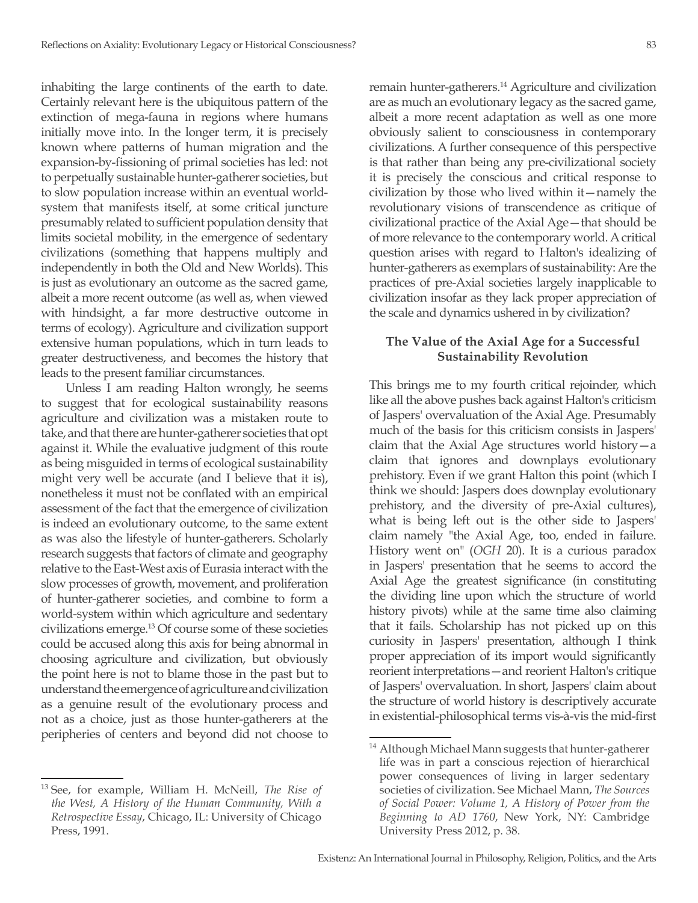inhabiting the large continents of the earth to date. Certainly relevant here is the ubiquitous pattern of the extinction of mega-fauna in regions where humans initially move into. In the longer term, it is precisely known where patterns of human migration and the expansion-by-fissioning of primal societies has led: not to perpetually sustainable hunter-gatherer societies, but to slow population increase within an eventual worldsystem that manifests itself, at some critical juncture presumably related to sufficient population density that limits societal mobility, in the emergence of sedentary civilizations (something that happens multiply and independently in both the Old and New Worlds). This is just as evolutionary an outcome as the sacred game, albeit a more recent outcome (as well as, when viewed with hindsight, a far more destructive outcome in terms of ecology). Agriculture and civilization support extensive human populations, which in turn leads to greater destructiveness, and becomes the history that leads to the present familiar circumstances.

Unless I am reading Halton wrongly, he seems to suggest that for ecological sustainability reasons agriculture and civilization was a mistaken route to take, and that there are hunter-gatherer societies that opt against it. While the evaluative judgment of this route as being misguided in terms of ecological sustainability might very well be accurate (and I believe that it is), nonetheless it must not be conflated with an empirical assessment of the fact that the emergence of civilization is indeed an evolutionary outcome, to the same extent as was also the lifestyle of hunter-gatherers. Scholarly research suggests that factors of climate and geography relative to the East-West axis of Eurasia interact with the slow processes of growth, movement, and proliferation of hunter-gatherer societies, and combine to form a world-system within which agriculture and sedentary civilizations emerge.13 Of course some of these societies could be accused along this axis for being abnormal in choosing agriculture and civilization, but obviously the point here is not to blame those in the past but to understand the emergence of agriculture and civilization as a genuine result of the evolutionary process and not as a choice, just as those hunter-gatherers at the peripheries of centers and beyond did not choose to

<sup>13</sup> See, for example, William H. McNeill, *The Rise of the West, A History of the Human Community, With a Retrospective Essay*, Chicago, IL: University of Chicago Press, 1991.

remain hunter-gatherers.14 Agriculture and civilization are as much an evolutionary legacy as the sacred game, albeit a more recent adaptation as well as one more obviously salient to consciousness in contemporary civilizations. A further consequence of this perspective is that rather than being any pre-civilizational society it is precisely the conscious and critical response to civilization by those who lived within it—namely the revolutionary visions of transcendence as critique of civilizational practice of the Axial Age—that should be of more relevance to the contemporary world. A critical question arises with regard to Halton's idealizing of hunter-gatherers as exemplars of sustainability: Are the practices of pre-Axial societies largely inapplicable to civilization insofar as they lack proper appreciation of the scale and dynamics ushered in by civilization?

## **The Value of the Axial Age for a Successful Sustainability Revolution**

This brings me to my fourth critical rejoinder, which like all the above pushes back against Halton's criticism of Jaspers' overvaluation of the Axial Age. Presumably much of the basis for this criticism consists in Jaspers' claim that the Axial Age structures world history—a claim that ignores and downplays evolutionary prehistory. Even if we grant Halton this point (which I think we should: Jaspers does downplay evolutionary prehistory, and the diversity of pre-Axial cultures), what is being left out is the other side to Jaspers' claim namely "the Axial Age, too, ended in failure. History went on" (*OGH* 20). It is a curious paradox in Jaspers' presentation that he seems to accord the Axial Age the greatest significance (in constituting the dividing line upon which the structure of world history pivots) while at the same time also claiming that it fails. Scholarship has not picked up on this curiosity in Jaspers' presentation, although I think proper appreciation of its import would significantly reorient interpretations—and reorient Halton's critique of Jaspers' overvaluation. In short, Jaspers' claim about the structure of world history is descriptively accurate in existential-philosophical terms vis-à-vis the mid-first

<sup>&</sup>lt;sup>14</sup> Although Michael Mann suggests that hunter-gatherer life was in part a conscious rejection of hierarchical power consequences of living in larger sedentary societies of civilization. See Michael Mann, *The Sources of Social Power: Volume 1, A History of Power from the Beginning to AD 1760*, New York, NY: Cambridge University Press 2012, p. 38.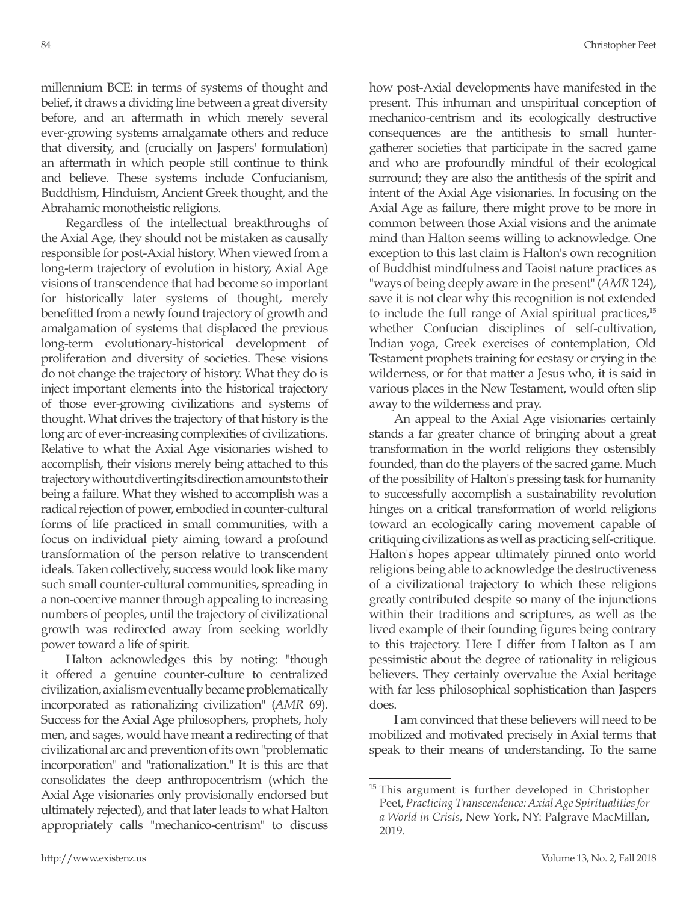millennium BCE: in terms of systems of thought and belief, it draws a dividing line between a great diversity before, and an aftermath in which merely several ever-growing systems amalgamate others and reduce that diversity, and (crucially on Jaspers' formulation) an aftermath in which people still continue to think and believe. These systems include Confucianism, Buddhism, Hinduism, Ancient Greek thought, and the Abrahamic monotheistic religions.

Regardless of the intellectual breakthroughs of the Axial Age, they should not be mistaken as causally responsible for post-Axial history. When viewed from a long-term trajectory of evolution in history, Axial Age visions of transcendence that had become so important for historically later systems of thought, merely benefitted from a newly found trajectory of growth and amalgamation of systems that displaced the previous long-term evolutionary-historical development of proliferation and diversity of societies. These visions do not change the trajectory of history. What they do is inject important elements into the historical trajectory of those ever-growing civilizations and systems of thought. What drives the trajectory of that history is the long arc of ever-increasing complexities of civilizations. Relative to what the Axial Age visionaries wished to accomplish, their visions merely being attached to this trajectory without diverting its direction amounts to their being a failure. What they wished to accomplish was a radical rejection of power, embodied in counter-cultural forms of life practiced in small communities, with a focus on individual piety aiming toward a profound transformation of the person relative to transcendent ideals. Taken collectively, success would look like many such small counter-cultural communities, spreading in a non-coercive manner through appealing to increasing numbers of peoples, until the trajectory of civilizational growth was redirected away from seeking worldly power toward a life of spirit.

Halton acknowledges this by noting: "though it offered a genuine counter-culture to centralized civilization, axialism eventually became problematically incorporated as rationalizing civilization" (*AMR* 69). Success for the Axial Age philosophers, prophets, holy men, and sages, would have meant a redirecting of that civilizational arc and prevention of its own "problematic incorporation" and "rationalization." It is this arc that consolidates the deep anthropocentrism (which the Axial Age visionaries only provisionally endorsed but ultimately rejected), and that later leads to what Halton appropriately calls "mechanico-centrism" to discuss how post-Axial developments have manifested in the present. This inhuman and unspiritual conception of mechanico-centrism and its ecologically destructive consequences are the antithesis to small huntergatherer societies that participate in the sacred game and who are profoundly mindful of their ecological surround; they are also the antithesis of the spirit and intent of the Axial Age visionaries. In focusing on the Axial Age as failure, there might prove to be more in common between those Axial visions and the animate mind than Halton seems willing to acknowledge. One exception to this last claim is Halton's own recognition of Buddhist mindfulness and Taoist nature practices as "ways of being deeply aware in the present" (*AMR* 124), save it is not clear why this recognition is not extended to include the full range of Axial spiritual practices,<sup>15</sup> whether Confucian disciplines of self-cultivation, Indian yoga, Greek exercises of contemplation, Old Testament prophets training for ecstasy or crying in the wilderness, or for that matter a Jesus who, it is said in various places in the New Testament, would often slip away to the wilderness and pray.

An appeal to the Axial Age visionaries certainly stands a far greater chance of bringing about a great transformation in the world religions they ostensibly founded, than do the players of the sacred game. Much of the possibility of Halton's pressing task for humanity to successfully accomplish a sustainability revolution hinges on a critical transformation of world religions toward an ecologically caring movement capable of critiquing civilizations as well as practicing self-critique. Halton's hopes appear ultimately pinned onto world religions being able to acknowledge the destructiveness of a civilizational trajectory to which these religions greatly contributed despite so many of the injunctions within their traditions and scriptures, as well as the lived example of their founding figures being contrary to this trajectory. Here I differ from Halton as I am pessimistic about the degree of rationality in religious believers. They certainly overvalue the Axial heritage with far less philosophical sophistication than Jaspers does.

I am convinced that these believers will need to be mobilized and motivated precisely in Axial terms that speak to their means of understanding. To the same

<sup>&</sup>lt;sup>15</sup> This argument is further developed in Christopher Peet, *Practicing Transcendence: Axial Age Spiritualities for a World in Crisis*, New York, NY: Palgrave MacMillan, 2019.